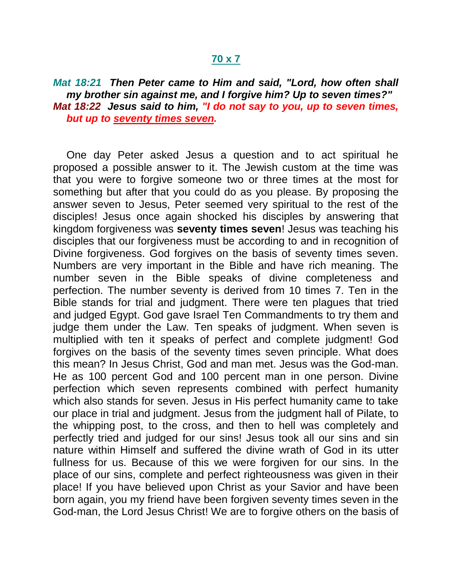## **70 x 7**

## *Mat 18:21 Then Peter came to Him and said, "Lord, how often shall my brother sin against me, and I forgive him? Up to seven times?" Mat 18:22 Jesus said to him, "I do not say to you, up to seven times, but up to seventy times seven.*

One day Peter asked Jesus a question and to act spiritual he proposed a possible answer to it. The Jewish custom at the time was that you were to forgive someone two or three times at the most for something but after that you could do as you please. By proposing the answer seven to Jesus, Peter seemed very spiritual to the rest of the disciples! Jesus once again shocked his disciples by answering that kingdom forgiveness was **seventy times seven**! Jesus was teaching his disciples that our forgiveness must be according to and in recognition of Divine forgiveness. God forgives on the basis of seventy times seven. Numbers are very important in the Bible and have rich meaning. The number seven in the Bible speaks of divine completeness and perfection. The number seventy is derived from 10 times 7. Ten in the Bible stands for trial and judgment. There were ten plagues that tried and judged Egypt. God gave Israel Ten Commandments to try them and judge them under the Law. Ten speaks of judgment. When seven is multiplied with ten it speaks of perfect and complete judgment! God forgives on the basis of the seventy times seven principle. What does this mean? In Jesus Christ, God and man met. Jesus was the God-man. He as 100 percent God and 100 percent man in one person. Divine perfection which seven represents combined with perfect humanity which also stands for seven. Jesus in His perfect humanity came to take our place in trial and judgment. Jesus from the judgment hall of Pilate, to the whipping post, to the cross, and then to hell was completely and perfectly tried and judged for our sins! Jesus took all our sins and sin nature within Himself and suffered the divine wrath of God in its utter fullness for us. Because of this we were forgiven for our sins. In the place of our sins, complete and perfect righteousness was given in their place! If you have believed upon Christ as your Savior and have been born again, you my friend have been forgiven seventy times seven in the God-man, the Lord Jesus Christ! We are to forgive others on the basis of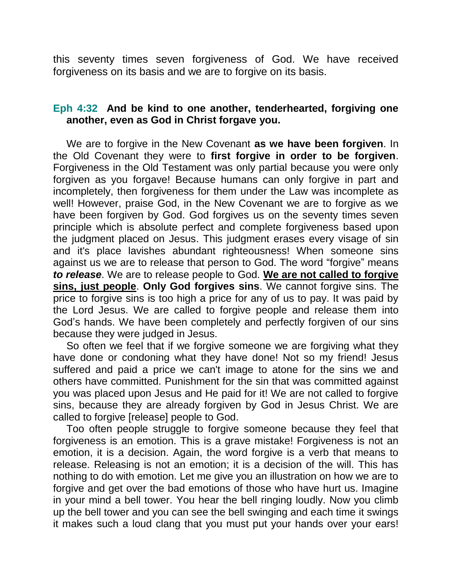this seventy times seven forgiveness of God. We have received forgiveness on its basis and we are to forgive on its basis.

## **Eph 4:32 And be kind to one another, tenderhearted, forgiving one another, even as God in Christ forgave you.**

We are to forgive in the New Covenant **as we have been forgiven**. In the Old Covenant they were to **first forgive in order to be forgiven**. Forgiveness in the Old Testament was only partial because you were only forgiven as you forgave! Because humans can only forgive in part and incompletely, then forgiveness for them under the Law was incomplete as well! However, praise God, in the New Covenant we are to forgive as we have been forgiven by God. God forgives us on the seventy times seven principle which is absolute perfect and complete forgiveness based upon the judgment placed on Jesus. This judgment erases every visage of sin and it's place lavishes abundant righteousness! When someone sins against us we are to release that person to God. The word "forgive" means *to release*. We are to release people to God. **We are not called to forgive sins, just people**. **Only God forgives sins**. We cannot forgive sins. The price to forgive sins is too high a price for any of us to pay. It was paid by the Lord Jesus. We are called to forgive people and release them into God's hands. We have been completely and perfectly forgiven of our sins because they were judged in Jesus.

So often we feel that if we forgive someone we are forgiving what they have done or condoning what they have done! Not so my friend! Jesus suffered and paid a price we can't image to atone for the sins we and others have committed. Punishment for the sin that was committed against you was placed upon Jesus and He paid for it! We are not called to forgive sins, because they are already forgiven by God in Jesus Christ. We are called to forgive [release] people to God.

Too often people struggle to forgive someone because they feel that forgiveness is an emotion. This is a grave mistake! Forgiveness is not an emotion, it is a decision. Again, the word forgive is a verb that means to release. Releasing is not an emotion; it is a decision of the will. This has nothing to do with emotion. Let me give you an illustration on how we are to forgive and get over the bad emotions of those who have hurt us. Imagine in your mind a bell tower. You hear the bell ringing loudly. Now you climb up the bell tower and you can see the bell swinging and each time it swings it makes such a loud clang that you must put your hands over your ears!